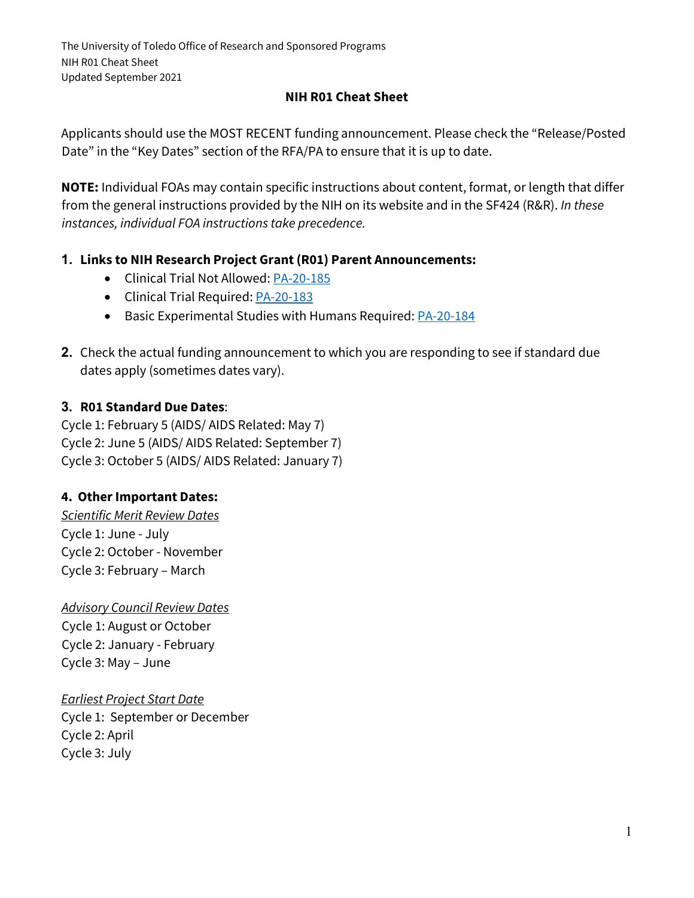#### **NIH R01 Cheat Sheet**

Applicants should use the MOST RECENT funding announcement. Please check the "Release/Posted Date" in the "Key Dates" section of the RFA/PA to ensure that it is up to date.

**NOTE:** Individual FOAs may contain specific instructions about content, format, or length that differ from the general instructions provided by the NIH on its website and in the SF424 (R&R). *In these instances, individual FOA instructions take precedence.*

#### **1. Links to NIH Research Project Grant (R01) Parent Announcements:**

- Clinical Trial Not Allowed: [PA-20-185](https://grants.nih.gov/grants/guide/pa-files/PA-20-185.html)
- Clinical Trial Required[: PA-20-183](https://grants.nih.gov/grants/guide/pa-files/PA-20-183.html)
- Basic Experimental Studies with Humans Required[: PA-20-184](https://grants.nih.gov/grants/guide/pa-files/PA-20-184.html)
- **2.** Check the actual funding announcement to which you are responding to see if standard due dates apply (sometimes dates vary).

#### **3. R01 Standard Due Dates**:

Cycle 1: February 5 (AIDS/ AIDS Related: May 7) Cycle 2: June 5 (AIDS/ AIDS Related: September 7) Cycle 3: October 5 (AIDS/ AIDS Related: January 7)

#### **4. Other Important Dates:**

*Scientific Merit Review Dates* Cycle 1: June - July Cycle 2: October - November Cycle 3: February – March

*Advisory Council Review Dates* Cycle 1: August or October Cycle 2: January - February Cycle 3: May – June

#### *Earliest Project Start Date*

Cycle 1: September or December Cycle 2: April Cycle 3: July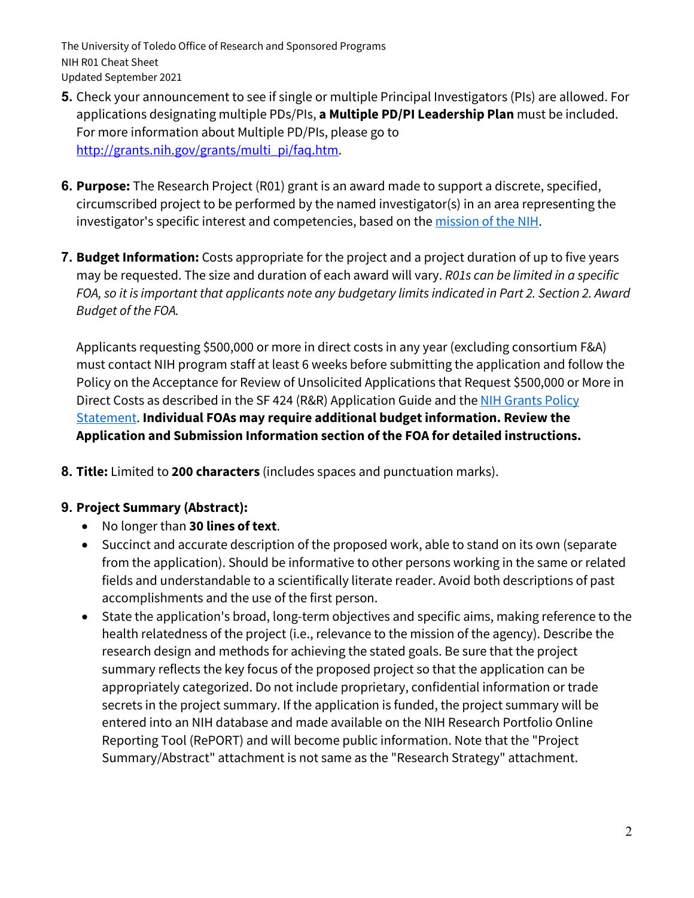- **5.** Check your announcement to see if single or multiple Principal Investigators (PIs) are allowed. For applications designating multiple PDs/PIs, **a Multiple PD/PI Leadership Plan** must be included. For more information about Multiple PD/PIs, please go to http://grants.nih.gov/grants/multi\_pi/faq.htm.
- **6. Purpose:** The Research Project (R01) grant is an award made to support a discrete, specified, circumscribed project to be performed by the named investigator(s) in an area representing the investigator's specific interest and competencies, based on the [mission of the NIH.](http://www.nih.gov/about/mission.htm)
- **7. Budget Information:** Costs appropriate for the project and a project duration of up to five years may be requested. The size and duration of each award will vary. *R01s can be limited in a specific FOA, so it is important that applicants note any budgetary limits indicated in Part 2. Section 2. Award Budget of the FOA.*

Applicants requesting \$500,000 or more in direct costs in any year (excluding consortium F&A) must contact NIH program staff at least 6 weeks before submitting the application and follow the Policy on the Acceptance for Review of Unsolicited Applications that Request \$500,000 or More in Direct Costs as described in the SF 424 (R&R) Application Guide and the [NIH Grants Policy](https://grants.nih.gov/grants/policy/nihgps/HTML5/section_2/2.3.7_policies_affecting_applications.htm#Acceptan)  [Statement.](https://grants.nih.gov/grants/policy/nihgps/HTML5/section_2/2.3.7_policies_affecting_applications.htm#Acceptan) **Individual FOAs may require additional budget information. Review the Application and Submission Information section of the FOA for detailed instructions.**

**8. Title:** Limited to **200 characters** (includes spaces and punctuation marks).

### **9. Project Summary (Abstract):**

- No longer than **30 lines of text**.
- Succinct and accurate description of the proposed work, able to stand on its own (separate from the application). Should be informative to other persons working in the same or related fields and understandable to a scientifically literate reader. Avoid both descriptions of past accomplishments and the use of the first person.
- State the application's broad, long-term objectives and specific aims, making reference to the health relatedness of the project (i.e., relevance to the mission of the agency). Describe the research design and methods for achieving the stated goals. Be sure that the project summary reflects the key focus of the proposed project so that the application can be appropriately categorized. Do not include proprietary, confidential information or trade secrets in the project summary. If the application is funded, the project summary will be entered into an NIH database and made available on the NIH Research Portfolio Online Reporting Tool (RePORT) and will become public information. Note that the "Project Summary/Abstract" attachment is not same as the "Research Strategy" attachment.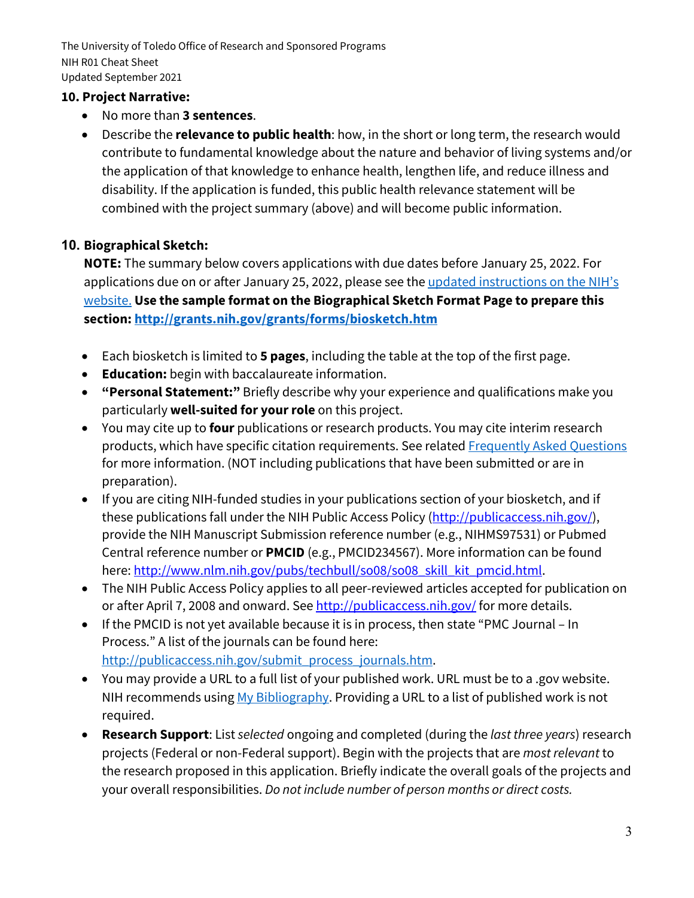### **10. Project Narrative:**

- No more than **3 sentences**.
- Describe the **relevance to public health**: how, in the short or long term, the research would contribute to fundamental knowledge about the nature and behavior of living systems and/or the application of that knowledge to enhance health, lengthen life, and reduce illness and disability. If the application is funded, this public health relevance statement will be combined with the project summary (above) and will become public information.

### **10. Biographical Sketch:**

**NOTE:** The summary below covers applications with due dates before January 25, 2022. For applications due on or after January 25, 2022, please see the updated instructions on the NIH's [website.](https://grants.nih.gov/grants/forms/biosketch.htm) **Use the sample format on the Biographical Sketch Format Page to prepare this section[: http://grants.nih.gov/grants/forms/biosketch.htm](http://grants.nih.gov/grants/forms/biosketch.htm)**

- Each biosketch is limited to **5 pages**, including the table at the top of the first page.
- **Education:** begin with baccalaureate information.
- **"Personal Statement:"** Briefly describe why your experience and qualifications make you particularly **well-suited for your role** on this project.
- You may cite up to **four** publications or research products. You may cite interim research products, which have specific citation requirements. See related [Frequently Asked Questions](http://grants.nih.gov/grants/interim_product_faqs.htm) for more information. (NOT including publications that have been submitted or are in preparation).
- If you are citing NIH-funded studies in your publications section of your biosketch, and if these publications fall under the NIH Public Access Policy (http://publicaccess.nih.gov/), provide the NIH Manuscript Submission reference number (e.g., NIHMS97531) or Pubmed Central reference number or **PMCID** (e.g., PMCID234567). More information can be found here: http://www.nlm.nih.gov/pubs/techbull/so08/so08\_skill\_kit\_pmcid.html.
- The NIH Public Access Policy applies to all peer-reviewed articles accepted for publication on or after April 7, 2008 and onward. See http://publicaccess.nih.gov/ for more details.
- If the PMCID is not yet available because it is in process, then state "PMC Journal In Process." A list of the journals can be found here: [http://publicaccess.nih.gov/submit\\_process\\_journals.htm.](http://publicaccess.nih.gov/submit_process_journals.htm)
- You may provide a URL to a full list of your published work. URL must be to a .gov website. NIH recommends using [My Bibliography.](http://www.ncbi.nlm.nih.gov/books/NBK53595/) Providing a URL to a list of published work is not required.
- **Research Support**: List *selected* ongoing and completed (during the *last three years*) research projects (Federal or non-Federal support). Begin with the projects that are *most relevant* to the research proposed in this application. Briefly indicate the overall goals of the projects and your overall responsibilities. *Do not include number of person months or direct costs.*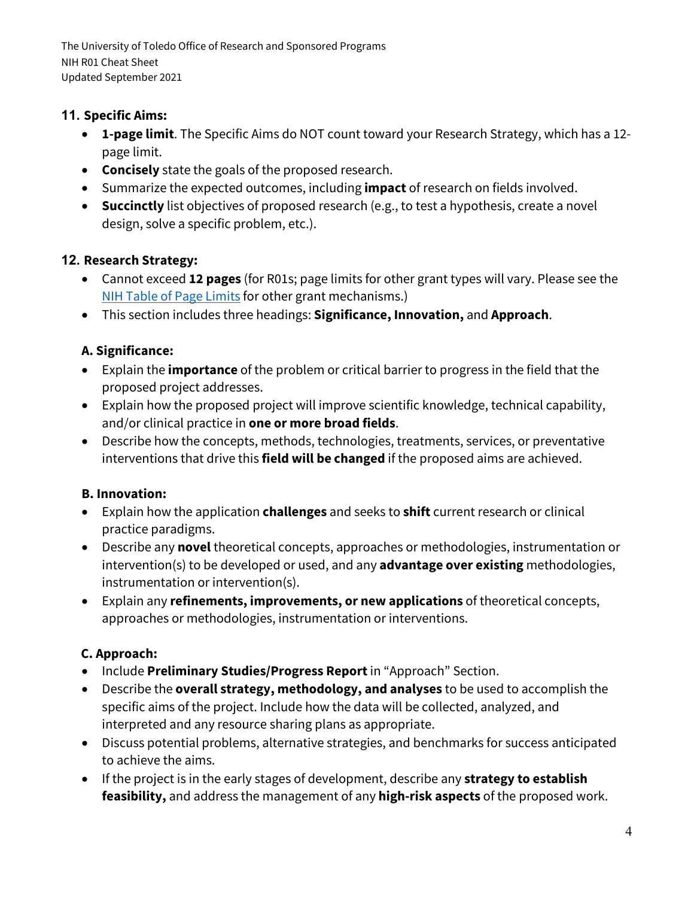### **11. Specific Aims:**

- **1-page limit**. The Specific Aims do NOT count toward your Research Strategy, which has a 12 page limit.
- **Concisely** state the goals of the proposed research.
- Summarize the expected outcomes, including **impact** of research on fields involved.
- **Succinctly** list objectives of proposed research (e.g., to test a hypothesis, create a novel design, solve a specific problem, etc.).

# **12. Research Strategy:**

- Cannot exceed **12 pages** (for R01s; page limits for other grant types will vary. Please see the [NIH Table of Page Limits](https://grants.nih.gov/grants/how-to-apply-application-guide/format-and-write/page-limits.htm) for other grant mechanisms.)
- This section includes three headings: **Significance, Innovation,** and **Approach**.

# **A. Significance:**

- Explain the **importance** of the problem or critical barrier to progress in the field that the proposed project addresses.
- Explain how the proposed project will improve scientific knowledge, technical capability, and/or clinical practice in **one or more broad fields**.
- Describe how the concepts, methods, technologies, treatments, services, or preventative interventions that drive this **field will be changed** if the proposed aims are achieved.

# **B. Innovation:**

- Explain how the application **challenges** and seeks to **shift** current research or clinical practice paradigms.
- Describe any **novel** theoretical concepts, approaches or methodologies, instrumentation or intervention(s) to be developed or used, and any **advantage over existing** methodologies, instrumentation or intervention(s).
- Explain any **refinements, improvements, or new applications** of theoretical concepts, approaches or methodologies, instrumentation or interventions.

# **C. Approach:**

- Include **Preliminary Studies/Progress Report**in "Approach" Section.
- Describe the **overall strategy, methodology, and analyses** to be used to accomplish the specific aims of the project. Include how the data will be collected, analyzed, and interpreted and any resource sharing plans as appropriate.
- Discuss potential problems, alternative strategies, and benchmarks for success anticipated to achieve the aims.
- If the project is in the early stages of development, describe any **strategy to establish feasibility,** and address the management of any **high-risk aspects** of the proposed work.